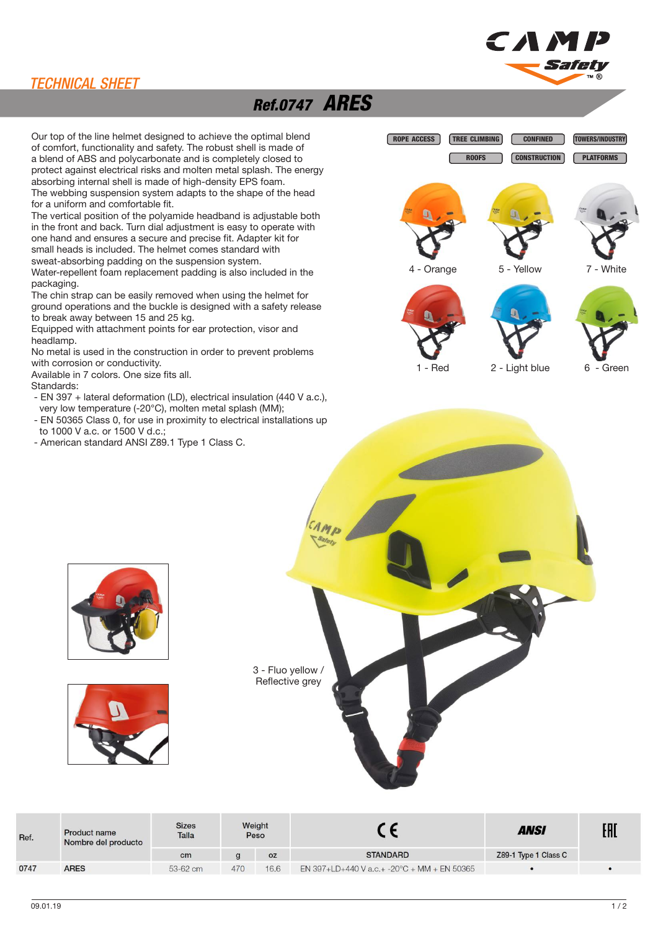

#### TECHNICAL SHEET

## Ref.0747 ARES

Our top of the line helmet designed to achieve the optimal blend of comfort, functionality and safety. The robust shell is made of a blend of ABS and polycarbonate and is completely closed to protect against electrical risks and molten metal splash. The energy absorbing internal shell is made of high-density EPS foam. The webbing suspension system adapts to the shape of the head for a uniform and comfortable fit.

The vertical position of the polyamide headband is adjustable both in the front and back. Turn dial adjustment is easy to operate with one hand and ensures a secure and precise fit. Adapter kit for small heads is included. The helmet comes standard with sweat-absorbing padding on the suspension system.

Water-repellent foam replacement padding is also included in the

packaging. The chin strap can be easily removed when using the helmet for ground operations and the buckle is designed with a safety release to break away between 15 and 25 kg.

Equipped with attachment points for ear protection, visor and headlamp.

No metal is used in the construction in order to prevent problems with corrosion or conductivity.

Available in 7 colors. One size fits all.

Standards:

- EN 397 + lateral deformation (LD), electrical insulation (440 V a.c.), very low temperature (-20°C), molten metal splash (MM);
- EN 50365 Class 0, for use in proximity to electrical installations up to 1000 V a.c. or 1500 V d.c.;
- American standard ANSI Z89.1 Type 1 Class C.









| Ref. | <b>Product name</b><br>Nombre del producto | <b>Sizes</b><br>Talla | Weight<br>Peso |           |                                                       | <b>ANSI</b>          | EAL |
|------|--------------------------------------------|-----------------------|----------------|-----------|-------------------------------------------------------|----------------------|-----|
|      |                                            | cm                    |                | <b>OZ</b> | <b>STANDARD</b>                                       | Z89-1 Type 1 Class C |     |
| 0747 | <b>ARES</b>                                | 53-62 cm              | 470            | 16.6      | EN 397+LD+440 V a.c.+ -20 $\degree$ C + MM + EN 50365 |                      |     |